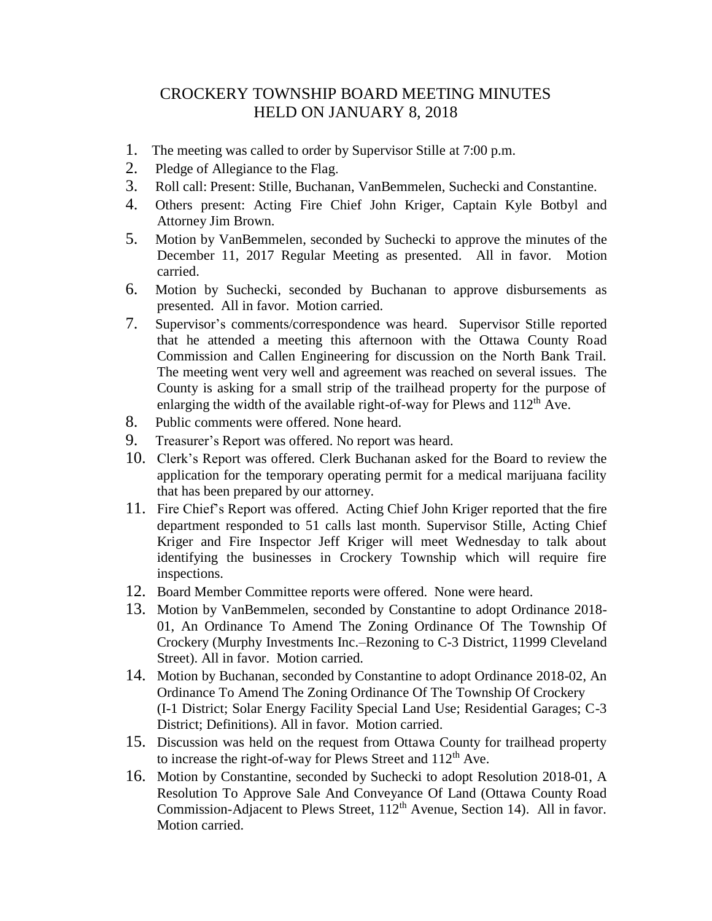## CROCKERY TOWNSHIP BOARD MEETING MINUTES HELD ON JANUARY 8, 2018

- 1. The meeting was called to order by Supervisor Stille at 7:00 p.m.
- 2. Pledge of Allegiance to the Flag.
- 3. Roll call: Present: Stille, Buchanan, VanBemmelen, Suchecki and Constantine.
- 4. Others present: Acting Fire Chief John Kriger, Captain Kyle Botbyl and Attorney Jim Brown.
- 5. Motion by VanBemmelen, seconded by Suchecki to approve the minutes of the December 11, 2017 Regular Meeting as presented. All in favor. Motion carried.
- 6. Motion by Suchecki, seconded by Buchanan to approve disbursements as presented. All in favor. Motion carried.
- 7. Supervisor's comments/correspondence was heard. Supervisor Stille reported that he attended a meeting this afternoon with the Ottawa County Road Commission and Callen Engineering for discussion on the North Bank Trail. The meeting went very well and agreement was reached on several issues. The County is asking for a small strip of the trailhead property for the purpose of enlarging the width of the available right-of-way for Plews and  $112<sup>th</sup>$  Ave.
- 8. Public comments were offered. None heard.
- 9. Treasurer's Report was offered. No report was heard.
- 10. Clerk's Report was offered. Clerk Buchanan asked for the Board to review the application for the temporary operating permit for a medical marijuana facility that has been prepared by our attorney.
- 11. Fire Chief's Report was offered. Acting Chief John Kriger reported that the fire department responded to 51 calls last month. Supervisor Stille, Acting Chief Kriger and Fire Inspector Jeff Kriger will meet Wednesday to talk about identifying the businesses in Crockery Township which will require fire inspections.
- 12. Board Member Committee reports were offered. None were heard.
- 13. Motion by VanBemmelen, seconded by Constantine to adopt Ordinance 2018- 01, An Ordinance To Amend The Zoning Ordinance Of The Township Of Crockery (Murphy Investments Inc.–Rezoning to C-3 District, 11999 Cleveland Street). All in favor. Motion carried.
- 14. Motion by Buchanan, seconded by Constantine to adopt Ordinance 2018-02, An Ordinance To Amend The Zoning Ordinance Of The Township Of Crockery (I-1 District; Solar Energy Facility Special Land Use; Residential Garages; C-3 District; Definitions). All in favor. Motion carried.
- 15. Discussion was held on the request from Ottawa County for trailhead property to increase the right-of-way for Plews Street and  $112<sup>th</sup>$  Ave.
- 16. Motion by Constantine, seconded by Suchecki to adopt Resolution 2018-01, A Resolution To Approve Sale And Conveyance Of Land (Ottawa County Road Commission-Adjacent to Plews Street, 112<sup>th</sup> Avenue, Section 14). All in favor. Motion carried.